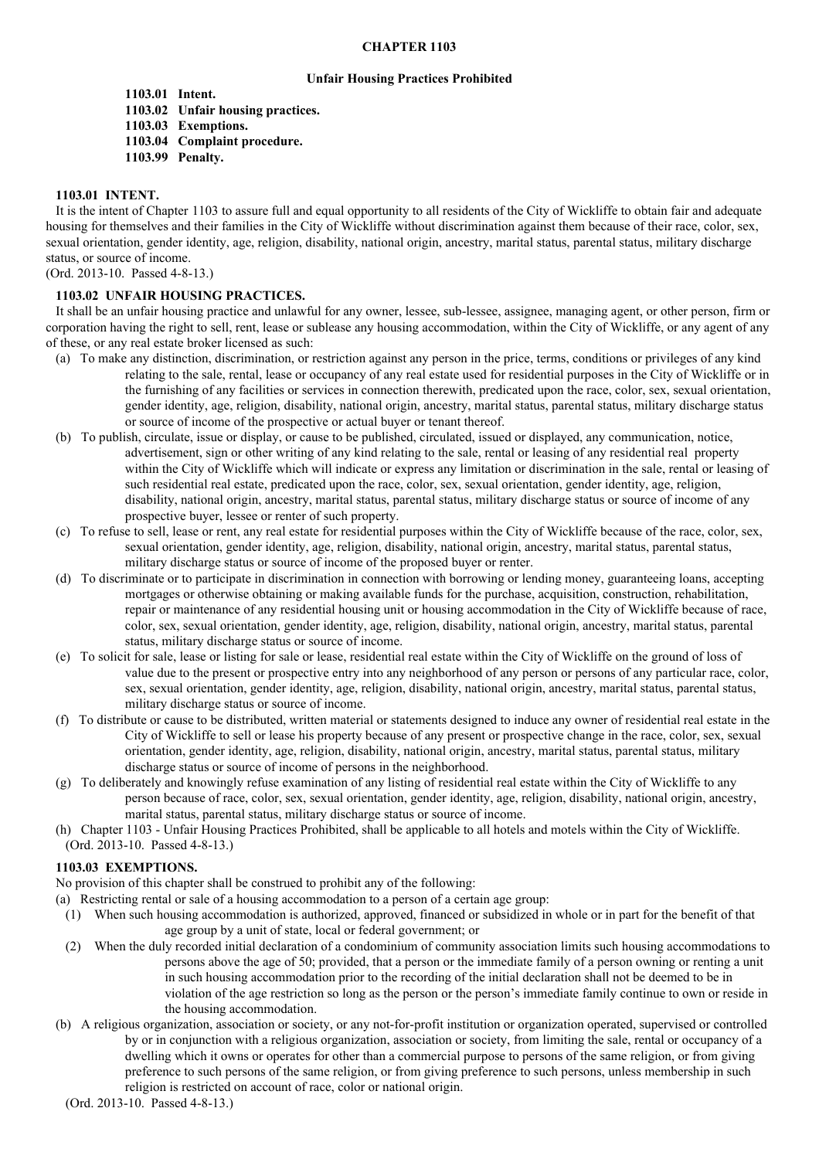#### **CHAPTER 1103**

#### **Unfair Housing Practices Prohibited**

**1103.01 Intent. 1103.02 Unfair housing practices. 1103.03 Exemptions. 1103.04 Complaint procedure. 1103.99 Penalty.**

# **1103.01 INTENT.**

It is the intent of Chapter 1103 to assure full and equal opportunity to all residents of the City of Wickliffe to obtain fair and adequate housing for themselves and their families in the City of Wickliffe without discrimination against them because of their race, color, sex, sexual orientation, gender identity, age, religion, disability, national origin, ancestry, marital status, parental status, military discharge status, or source of income.

(Ord. 2013-10. Passed 4-8-13.)

# **1103.02 UNFAIR HOUSING PRACTICES.**

It shall be an unfair housing practice and unlawful for any owner, lessee, sub-lessee, assignee, managing agent, or other person, firm or corporation having the right to sell, rent, lease or sublease any housing accommodation, within the City of Wickliffe, or any agent of any of these, or any real estate broker licensed as such:

- (a) To make any distinction, discrimination, or restriction against any person in the price, terms, conditions or privileges of any kind relating to the sale, rental, lease or occupancy of any real estate used for residential purposes in the City of Wickliffe or in the furnishing of any facilities or services in connection therewith, predicated upon the race, color, sex, sexual orientation, gender identity, age, religion, disability, national origin, ancestry, marital status, parental status, military discharge status or source of income of the prospective or actual buyer or tenant thereof.
- (b) To publish, circulate, issue or display, or cause to be published, circulated, issued or displayed, any communication, notice, advertisement, sign or other writing of any kind relating to the sale, rental or leasing of any residential real property within the City of Wickliffe which will indicate or express any limitation or discrimination in the sale, rental or leasing of such residential real estate, predicated upon the race, color, sex, sexual orientation, gender identity, age, religion, disability, national origin, ancestry, marital status, parental status, military discharge status or source of income of any prospective buyer, lessee or renter of such property.
- (c) To refuse to sell, lease or rent, any real estate for residential purposes within the City of Wickliffe because of the race, color, sex, sexual orientation, gender identity, age, religion, disability, national origin, ancestry, marital status, parental status, military discharge status or source of income of the proposed buyer or renter.
- (d) To discriminate or to participate in discrimination in connection with borrowing or lending money, guaranteeing loans, accepting mortgages or otherwise obtaining or making available funds for the purchase, acquisition, construction, rehabilitation, repair or maintenance of any residential housing unit or housing accommodation in the City of Wickliffe because of race, color, sex, sexual orientation, gender identity, age, religion, disability, national origin, ancestry, marital status, parental status, military discharge status or source of income.
- (e) To solicit for sale, lease or listing for sale or lease, residential real estate within the City of Wickliffe on the ground of loss of value due to the present or prospective entry into any neighborhood of any person or persons of any particular race, color, sex, sexual orientation, gender identity, age, religion, disability, national origin, ancestry, marital status, parental status, military discharge status or source of income.
- (f) To distribute or cause to be distributed, written material or statements designed to induce any owner of residential real estate in the City of Wickliffe to sell or lease his property because of any present or prospective change in the race, color, sex, sexual orientation, gender identity, age, religion, disability, national origin, ancestry, marital status, parental status, military discharge status or source of income of persons in the neighborhood.
- (g) To deliberately and knowingly refuse examination of any listing of residential real estate within the City of Wickliffe to any person because of race, color, sex, sexual orientation, gender identity, age, religion, disability, national origin, ancestry, marital status, parental status, military discharge status or source of income.
- (h) Chapter 1103 Unfair Housing Practices Prohibited, shall be applicable to all hotels and motels within the City of Wickliffe. (Ord. 2013-10. Passed 4-8-13.)

# **1103.03 EXEMPTIONS.**

No provision of this chapter shall be construed to prohibit any of the following:

- (a) Restricting rental or sale of a housing accommodation to a person of a certain age group:
	- (1) When such housing accommodation is authorized, approved, financed or subsidized in whole or in part for the benefit of that age group by a unit of state, local or federal government; or
	- (2) When the duly recorded initial declaration of a condominium of community association limits such housing accommodations to persons above the age of 50; provided, that a person or the immediate family of a person owning or renting a unit in such housing accommodation prior to the recording of the initial declaration shall not be deemed to be in violation of the age restriction so long as the person or the person's immediate family continue to own or reside in the housing accommodation.
- (b) A religious organization, association or society, or any not-for-profit institution or organization operated, supervised or controlled by or in conjunction with a religious organization, association or society, from limiting the sale, rental or occupancy of a dwelling which it owns or operates for other than a commercial purpose to persons of the same religion, or from giving preference to such persons of the same religion, or from giving preference to such persons, unless membership in such religion is restricted on account of race, color or national origin.
- (Ord. 2013-10. Passed 4-8-13.)